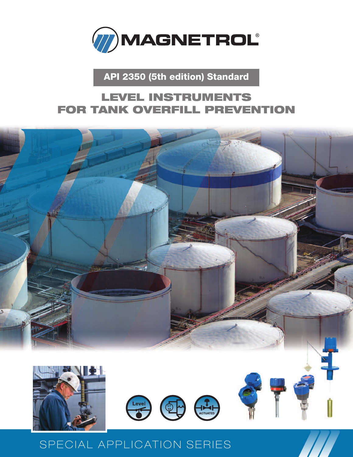

**API 2350 (5th edition) Standard**

### **LEVEL INSTRUMENTS FOR TANK OVERFILL PREVENTION**



## SPECIAL APPLICATION SERIES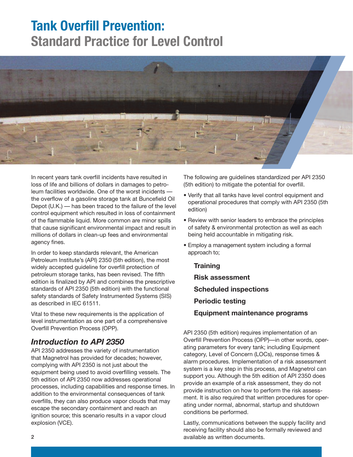## **Tank Overfill Prevention: Standard Practice for Level Control**



In recent years tank overfill incidents have resulted in loss of life and billions of dollars in damages to petroleum facilities worldwide. One of the worst incidents the overflow of a gasoline storage tank at Buncefield Oil Depot (U.K.) — has been traced to the failure of the level control equipment which resulted in loss of containment of the flammable liquid. More common are minor spills that cause significant environmental impact and result in millions of dollars in clean-up fees and environmental agency fines.

In order to keep standards relevant, the American Petroleum Institute's (API) 2350 (5th edition), the most widely accepted guideline for overfill protection of petroleum storage tanks, has been revised. The fifth edition is finalized by API and combines the prescriptive standards of API 2350 (5th edition) with the functional safety standards of Safety Instrumented Systems (SIS) as described in IEC 61511.

Vital to these new requirements is the application of level instrumentation as one part of a comprehensive Overfill Prevention Process (OPP).

### *Introduction to API 2350*

API 2350 addresses the variety of instrumentation that Magnetrol has provided for decades; however, complying with API 2350 is not just about the equipment being used to avoid overfilling vessels. The 5th edition of API 2350 now addresses operational processes, including capabilities and response times. In addition to the environmental consequences of tank overfills, they can also produce vapor clouds that may escape the secondary containment and reach an ignition source; this scenario results in a vapor cloud explosion (VCE).

The following are guidelines standardized per API 2350 (5th edition) to mitigate the potential for overfill.

- Verify that all tanks have level control equipment and operational procedures that comply with API 2350 (5th edition)
- Review with senior leaders to embrace the principles of safety & environmental protection as well as each being held accountable in mitigating risk.
- Employ a management system including a formal approach to;
	- **Training Risk assessment Scheduled inspections Periodic testing Equipment maintenance programs**

API 2350 (5th edition) requires implementation of an Overfill Prevention Process (OPP)—in other words, operating parameters for every tank; including Equipment category, Level of Concern (LOCs), response times & alarm procedures. Implementation of a risk assessment system is a key step in this process, and Magnetrol can support you. Although the 5th edition of API 2350 does provide an example of a risk assessment, they do not provide instruction on how to perform the risk assessment. It is also required that written procedures for operating under normal, abnormal, startup and shutdown conditions be performed.

Lastly, communications between the supply facility and receiving facility should also be formally reviewed and available as written documents.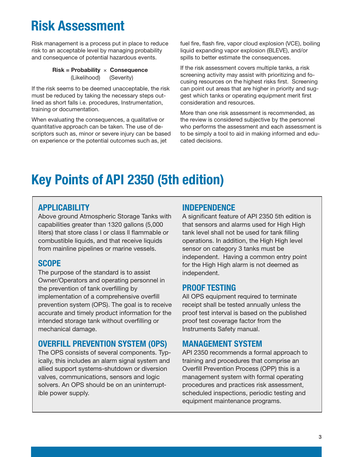## **Risk Assessment**

Risk management is a process put in place to reduce risk to an acceptable level by managing probability and consequence of potential hazardous events.

#### **Risk = Probability** × **Consequence** (Likelihood) (Severity)

If the risk seems to be deemed unacceptable, the risk must be reduced by taking the necessary steps outlined as short falls i.e. procedures, Instrumentation, training or documentation.

When evaluating the consequences, a qualitative or quantitative approach can be taken. The use of descriptors such as, minor or severe injury can be based on experience or the potential outcomes such as, jet

fuel fire, flash fire, vapor cloud explosion (VCE), boiling liquid expanding vapor explosion (BLEVE), and/or spills to better estimate the consequences.

If the risk assessment covers multiple tanks, a risk screening activity may assist with prioritizing and focusing resources on the highest risks first. Screening can point out areas that are higher in priority and suggest which tanks or operating equipment merit first consideration and resources.

More than one risk assessment is recommended, as the review is considered subjective by the personnel who performs the assessment and each assessment is to be simply a tool to aid in making informed and educated decisions.

## **Key Points of API 2350 (5th edition)**

### **APPLICABILITY**

Above ground Atmospheric Storage Tanks with capabilities greater than 1320 gallons (5,000 liters) that store class l or class ll flammable or combustible liquids, and that receive liquids from mainline pipelines or marine vessels.

### **SCOPE**

The purpose of the standard is to assist Owner/Operators and operating personnel in the prevention of tank overfilling by implementation of a comprehensive overfill prevention system (OPS). The goal is to receive accurate and timely product information for the intended storage tank without overfilling or mechanical damage.

### **OVERFILL PREVENTION SYSTEM (OPS)**

The OPS consists of several components. Typically, this includes an alarm signal system and allied support systems-shutdown or diversion valves, communications, sensors and logic solvers. An OPS should be on an uninterruptible power supply.

### **INDEPENDENCE**

A significant feature of API 2350 5th edition is that sensors and alarms used for High High tank level shall not be used for tank filling operations. In addition, the High High level sensor on category 3 tanks must be independent. Having a common entry point for the High High alarm is not deemed as independent.

### **PROOF TESTING**

All OPS equipment required to terminate receipt shall be tested annually unless the proof test interval is based on the published proof test coverage factor from the Instruments Safety manual.

### **MANAGEMENT SYSTEM**

API 2350 recommends a formal approach to training and procedures that comprise an Overfill Prevention Process (OPP) this is a management system with formal operating procedures and practices risk assessment, scheduled inspections, periodic testing and equipment maintenance programs.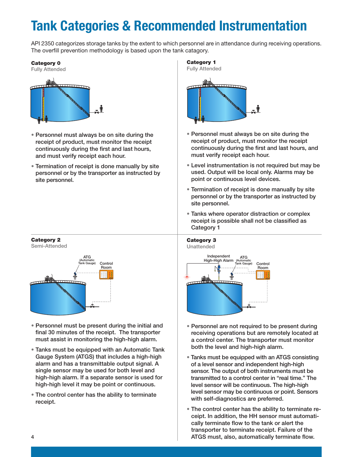# **Tank Categories & Recommended Instrumentation**

API 2350 categorizes storage tanks by the extent to which personnel are in attendance during receiving operations. The overfill prevention methodology is based upon the tank catagory.

#### **Category 0**



- Personnel must always be on site during the receipt of product, must monitor the receipt continuously during the first and last hours, and must verify receipt each hour.
- Termination of receipt is done manually by site personnel or by the transporter as instructed by site personnel.





- Personnel must be present during the initial and final 30 minutes of the receipt. The transporter must assist in monitoring the high-high alarm.
- Tanks must be equipped with an Automatic Tank Gauge System (ATGS) that includes a high-high alarm and has a transmittable output signal. A single sensor may be used for both level and high-high alarm. If a separate sensor is used for high-high level it may be point or continuous.
- The control center has the ability to terminate receipt.



- Personnel must always be on site during the receipt of product, must monitor the receipt continuously during the first and last hours, and must verify receipt each hour.
- Level instrumentation is not required but may be used. Output will be local only. Alarms may be point or continuous level devices.
- Termination of receipt is done manually by site personnel or by the transporter as instructed by site personnel.
- Tanks where operator distraction or complex receipt is possible shall not be classified as Category 1



- Personnel are not required to be present during receiving operations but are remotely located at a control center. The transporter must monitor both the level and high-high alarm.
- Tanks must be equipped with an ATGS consisting of a level sensor and independent high-high sensor. The output of both instruments must be transmitted to a control center in "real time." The level sensor will be continuous. The high-high level sensor may be continuous or point. Sensors with self-diagnostics are preferred.
- The control center has the ability to terminate receipt. In addition, the HH sensor must automatically terminate flow to the tank or alert the transporter to terminate receipt. Failure of the ATGS must, also, automatically terminate flow.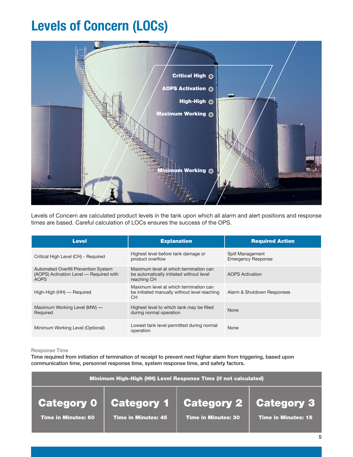## **Levels of Concern (LOCs)**



Levels of Concern are calculated product levels in the tank upon which all alarm and alert positions and response times are based. Careful calculation of LOCs ensures the success of the OPS.

| <b>Level</b>                                                                                          | <b>Explanation</b>                                                                                | <b>Required Action</b>                        |
|-------------------------------------------------------------------------------------------------------|---------------------------------------------------------------------------------------------------|-----------------------------------------------|
| Critical High Level (CH) - Required                                                                   | Highest level before tank damage or<br>product overflow                                           | Spill Management<br><b>Emergency Response</b> |
| <b>Automated Overfill Prevention System</b><br>(AOPS) Activation Level - Required with<br><b>AOPS</b> | Maximum level at which termination can<br>be automatically initiated without level<br>reaching CH | <b>AOPS Activation</b>                        |
| High-High (HH) — Required                                                                             | Maximum level at which termination can<br>be initiated manually without level reaching<br>CH.     | Alarm & Shutdown Responses                    |
| Maximum Working Level (MW) —<br>Required                                                              | Highest level to which tank may be filled<br>during normal operation                              | None                                          |
| Minimum Working Level (Optional)                                                                      | Lowest tank level permitted during normal<br>operation                                            | None                                          |

#### Response Time

Time required from initiation of termination of receipt to prevent next higher alarm from triggering, based upon communication time, personnel response time, system response time, and safety factors.

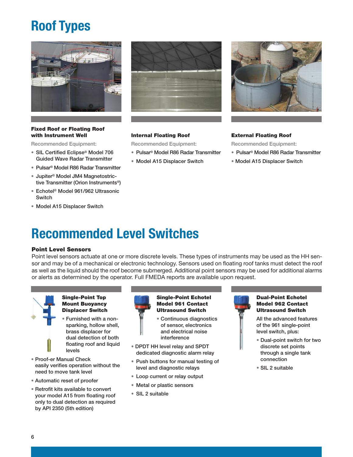# **Roof Types**



#### **Fixed Roof or Floating Roof with Instrument Well**

Recommended Equipment:

- SIL Certified Eclipse® Model 706 Guided Wave Radar Transmitter
- Pulsar® Model R86 Radar Transmitter
- Jupiter® Model JM4 Magnetostrictive Transmitter (Orion Instruments®)
- Echotel ® Model 961/962 Ultrasonic Switch
- Model A15 Displacer Switch



#### **Internal Floating Roof**

Recommended Equipment:

- Pulsar® Model R86 Radar Transmitter
- Model A15 Displacer Switch



#### **External Floating Roof**

Recommended Equipment:

- Pulsar® Model R86 Radar Transmitter
- Model A15 Displacer Switch

## **Recommended Level Switches**

#### **Point Level Sensors**

Point level sensors actuate at one or more discrete levels. These types of instruments may be used as the HH sensor and may be of a mechanical or electronic technology. Sensors used on floating roof tanks must detect the roof as well as the liquid should the roof become submerged. Additional point sensors may be used for additional alarms or alerts as determined by the operator. Full FMEDA reports are available upon request.



#### **Single-Point Top Mount Buoyancy Displacer Switch**

- Furnished with a nonsparking, hollow shell, brass displacer for dual detection of both floating roof and liquid levels
- Proof-er Manual Check easily verifies operation without the need to move tank level
- Automatic reset of proofer
- Retrofit kits available to convert your model A15 from floating roof only to dual detection as required by API 2350 (5th edition)



#### **Single-Point Echotel Model 961 Contact Ultrasound Switch**



- DPDT HH level relay and SPDT dedicated diagnostic alarm relay
- Push buttons for manual testing of level and diagnostic relays
- Loop current or relay output
- Metal or plastic sensors
- SIL 2 suitable



#### **Dual-Point Echotel Model 962 Contact Ultrasound Switch**

All the advanced features of the 961 single-point level switch, plus:

- Dual-point switch for two discrete set points through a single tank connection
- SIL 2 suitable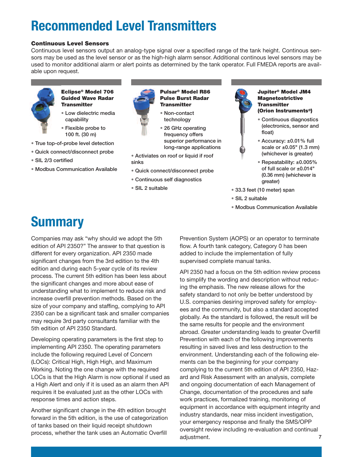# **Recommended Level Transmitters**

#### **Continuous Level Sensors**

Continuous level sensors output an analog-type signal over a specified range of the tank height. Continous sensors may be used as the level sensor or as the high-high alarm sensor. Additional continous level sensors may be used to monitor additional alarm or alert points as determined by the tank operator. Full FMEDA reports are available upon request.



#### **Eclipse® Model 706 Guided Wave Radar Transmitter**

• Low dielectric media capability

• Flexible probe to

- 100 ft. (30 m) • True top-of-probe level detection
- Quick connect/disconnect probe
- SIL 2/3 certified
- Modbus Communication Available



**Pulsar® Model R86 Pulse Burst Radar Transmitter**

• Non-contact technology

• 26 GHz operating frequency offers superior performance in long-range applications

• Activiates on roof or liquid if roof sinks

- Quick connect/disconnect probe
- Continuous self diagnostics
- SIL 2 suitable



#### **Jupiter® Model JM4 Magnetostrictive Transmitter (Orion Instruments®)**

• Continuous diagnostics (electronics, sensor and float)



- Repeatability: ±0.005% of full scale or ±0.014" (0.36 mm) (whichever is greater)
- 33.3 feet (10 meter) span
- SIL 2 suitable
- Modbus Communication Available

## **Summary**

Companies may ask "why should we adopt the 5th edition of API 2350?" The answer to that question is different for every organization. API 2350 made significant changes from the 3rd edition to the 4th edition and during each 5-year cycle of its review process. The current 5th edition has been less about the significant changes and more about ease of understanding what to implement to reduce risk and increase overfill prevention methods. Based on the size of your company and staffing, complying to API 2350 can be a significant task and smaller companies may require 3rd party consultants familiar with the 5th edition of API 2350 Standard.

Developing operating parameters is the first step to implementing API 2350. The operating parameters include the following required Level of Concern (LOCs): Critical High, High High, and Maximum Working. Noting the one change with the required LOCs is that the High Alarm is now optional if used as a High Alert and only if it is used as an alarm then API requires it be evaluated just as the other LOCs with response times and action steps.

Another significant change in the 4th edition brought forward in the 5th edition, is the use of categorization of tanks based on their liquid receipt shutdown process, whether the tank uses an Automatic Overfill

Prevention System (AOPS) or an operator to terminate flow. A fourth tank category, Category 0 has been added to include the implementation of fully supervised complete manual tanks.

7 API 2350 had a focus on the 5th edition review process to simplify the wording and description without reducing the emphasis. The new release allows for the safety standard to not only be better understood by U.S. companies desiring improved safety for employees and the community, but also a standard accepted globally. As the standard is followed, the result will be the same results for people and the environment abroad. Greater understanding leads to greater Overfill Prevention with each of the following improvements resulting in saved lives and less destruction to the environment. Understanding each of the following elements can be the beginning for your company complying to the current 5th edition of API 2350, Hazard and Risk Assessment with an analysis, complete and ongoing documentation of each Management of Change, documentation of the procedures and safe work practices, formalized training, monitoring of equipment in accordance with equipment integrity and industry standards, near miss incident investigation, your emergency response and finally the SMS/OPP oversight review including re-evaluation and continual adjustment.